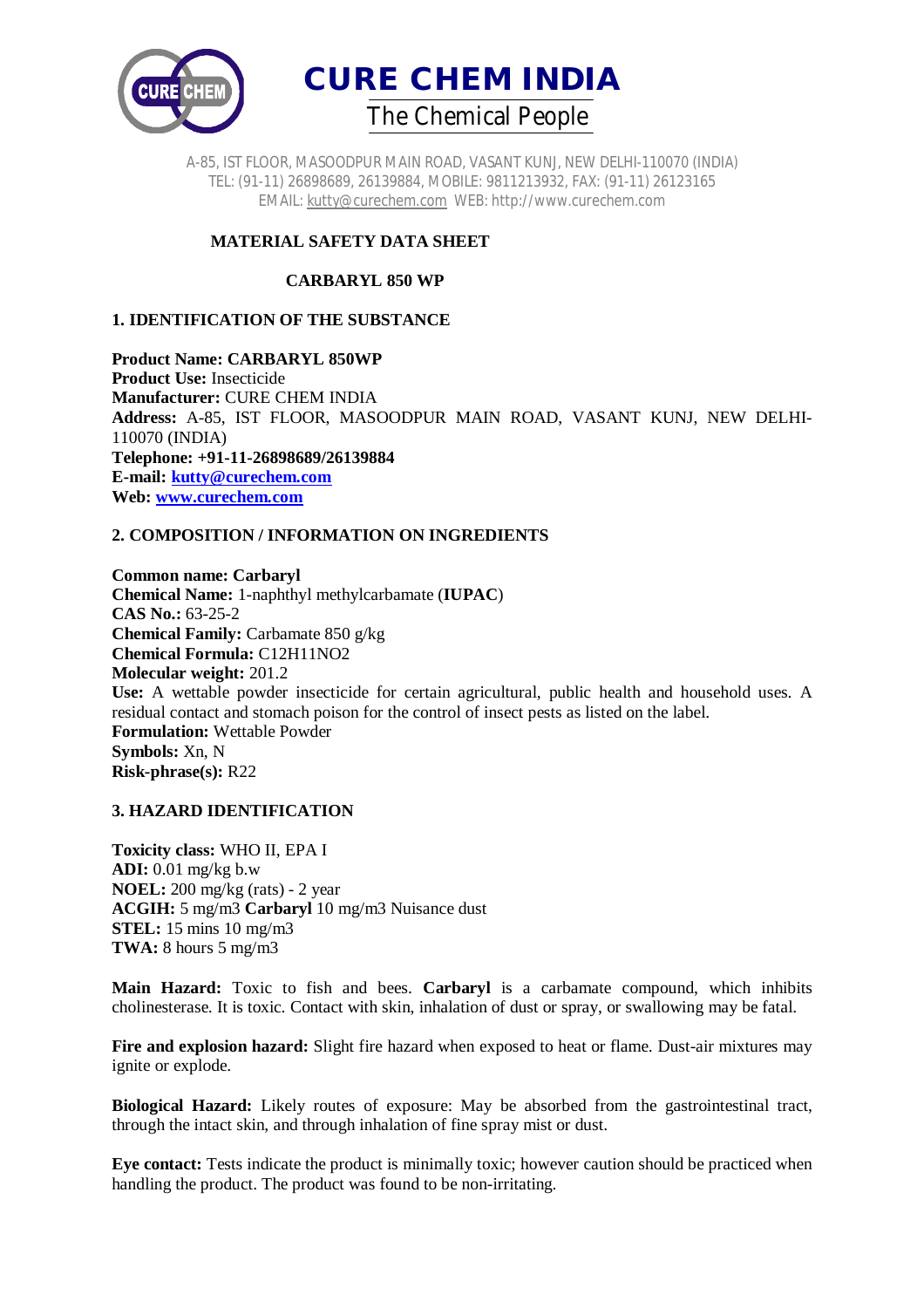

A-85, IST FLOOR, MASOODPUR MAIN ROAD, VASANT KUNJ, NEW DELHI-110070 (INDIA) TEL: (91-11) 26898689, 26139884, MOBILE: 9811213932, FAX: (91-11) 26123165 EMAIL: kutty@curechem.com WEB: http://www.curechem.com

# **MATERIAL SAFETY DATA SHEET**

## **CARBARYL 850 WP**

## **1. IDENTIFICATION OF THE SUBSTANCE**

**Product Name: CARBARYL 850WP Product Use:** Insecticide **Manufacturer:** CURE CHEM INDIA **Address:** A-85, IST FLOOR, MASOODPUR MAIN ROAD, VASANT KUNJ, NEW DELHI-110070 (INDIA) **Telephone: +91-11-26898689/26139884 E-mail: kutty@curechem.com Web: www.curechem.com**

## **2. COMPOSITION / INFORMATION ON INGREDIENTS**

**Common name: Carbaryl Chemical Name:** 1-naphthyl methylcarbamate (**IUPAC**) **CAS No.:** 63-25-2 **Chemical Family:** Carbamate 850 g/kg **Chemical Formula:** C12H11NO2 **Molecular weight:** 201.2 **Use:** A wettable powder insecticide for certain agricultural, public health and household uses. A residual contact and stomach poison for the control of insect pests as listed on the label. **Formulation:** Wettable Powder **Symbols:** Xn, N **Risk-phrase(s):** R22

## **3. HAZARD IDENTIFICATION**

**Toxicity class:** WHO II, EPA I **ADI:** 0.01 mg/kg b.w **NOEL:** 200 mg/kg (rats) - 2 year **ACGIH:** 5 mg/m3 **Carbaryl** 10 mg/m3 Nuisance dust **STEL:** 15 mins 10 mg/m3 **TWA:** 8 hours 5 mg/m3

**Main Hazard:** Toxic to fish and bees. **Carbaryl** is a carbamate compound, which inhibits cholinesterase. It is toxic. Contact with skin, inhalation of dust or spray, or swallowing may be fatal.

**Fire and explosion hazard:** Slight fire hazard when exposed to heat or flame. Dust-air mixtures may ignite or explode.

**Biological Hazard:** Likely routes of exposure: May be absorbed from the gastrointestinal tract, through the intact skin, and through inhalation of fine spray mist or dust.

**Eye contact:** Tests indicate the product is minimally toxic; however caution should be practiced when handling the product. The product was found to be non-irritating.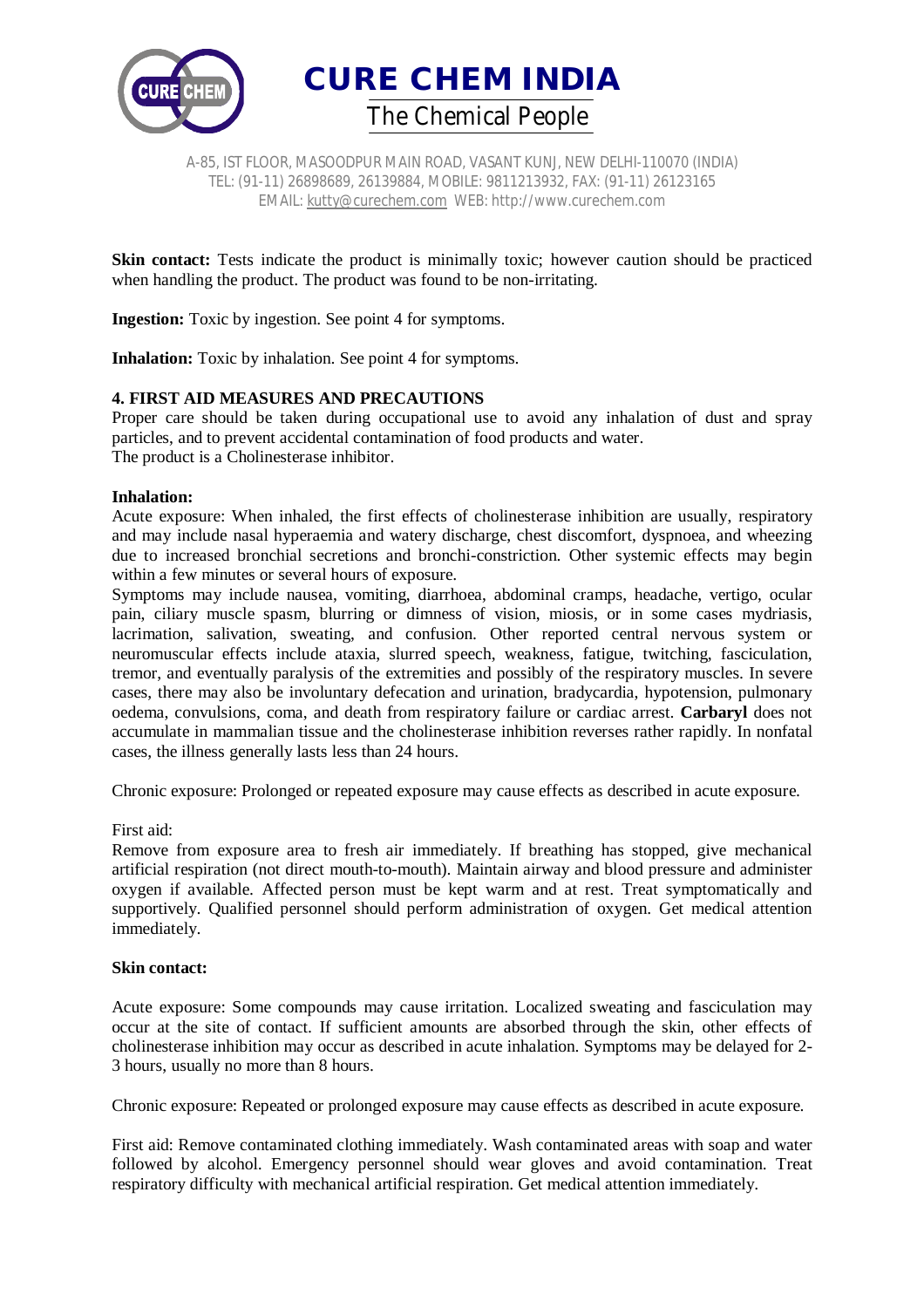



A-85, IST FLOOR, MASOODPUR MAIN ROAD, VASANT KUNJ, NEW DELHI-110070 (INDIA) TEL: (91-11) 26898689, 26139884, MOBILE: 9811213932, FAX: (91-11) 26123165 EMAIL: kutty@curechem.com WEB: http://www.curechem.com

**Skin contact:** Tests indicate the product is minimally toxic; however caution should be practiced when handling the product. The product was found to be non-irritating.

**Ingestion:** Toxic by ingestion. See point 4 for symptoms.

**Inhalation:** Toxic by inhalation. See point 4 for symptoms.

## **4. FIRST AID MEASURES AND PRECAUTIONS**

Proper care should be taken during occupational use to avoid any inhalation of dust and spray particles, and to prevent accidental contamination of food products and water. The product is a Cholinesterase inhibitor.

#### **Inhalation:**

Acute exposure: When inhaled, the first effects of cholinesterase inhibition are usually, respiratory and may include nasal hyperaemia and watery discharge, chest discomfort, dyspnoea, and wheezing due to increased bronchial secretions and bronchi-constriction. Other systemic effects may begin within a few minutes or several hours of exposure.

Symptoms may include nausea, vomiting, diarrhoea, abdominal cramps, headache, vertigo, ocular pain, ciliary muscle spasm, blurring or dimness of vision, miosis, or in some cases mydriasis, lacrimation, salivation, sweating, and confusion. Other reported central nervous system or neuromuscular effects include ataxia, slurred speech, weakness, fatigue, twitching, fasciculation, tremor, and eventually paralysis of the extremities and possibly of the respiratory muscles. In severe cases, there may also be involuntary defecation and urination, bradycardia, hypotension, pulmonary oedema, convulsions, coma, and death from respiratory failure or cardiac arrest. **Carbaryl** does not accumulate in mammalian tissue and the cholinesterase inhibition reverses rather rapidly. In nonfatal cases, the illness generally lasts less than 24 hours.

Chronic exposure: Prolonged or repeated exposure may cause effects as described in acute exposure.

#### First aid:

Remove from exposure area to fresh air immediately. If breathing has stopped, give mechanical artificial respiration (not direct mouth-to-mouth). Maintain airway and blood pressure and administer oxygen if available. Affected person must be kept warm and at rest. Treat symptomatically and supportively. Qualified personnel should perform administration of oxygen. Get medical attention immediately.

#### **Skin contact:**

Acute exposure: Some compounds may cause irritation. Localized sweating and fasciculation may occur at the site of contact. If sufficient amounts are absorbed through the skin, other effects of cholinesterase inhibition may occur as described in acute inhalation. Symptoms may be delayed for 2- 3 hours, usually no more than 8 hours.

Chronic exposure: Repeated or prolonged exposure may cause effects as described in acute exposure.

First aid: Remove contaminated clothing immediately. Wash contaminated areas with soap and water followed by alcohol. Emergency personnel should wear gloves and avoid contamination. Treat respiratory difficulty with mechanical artificial respiration. Get medical attention immediately.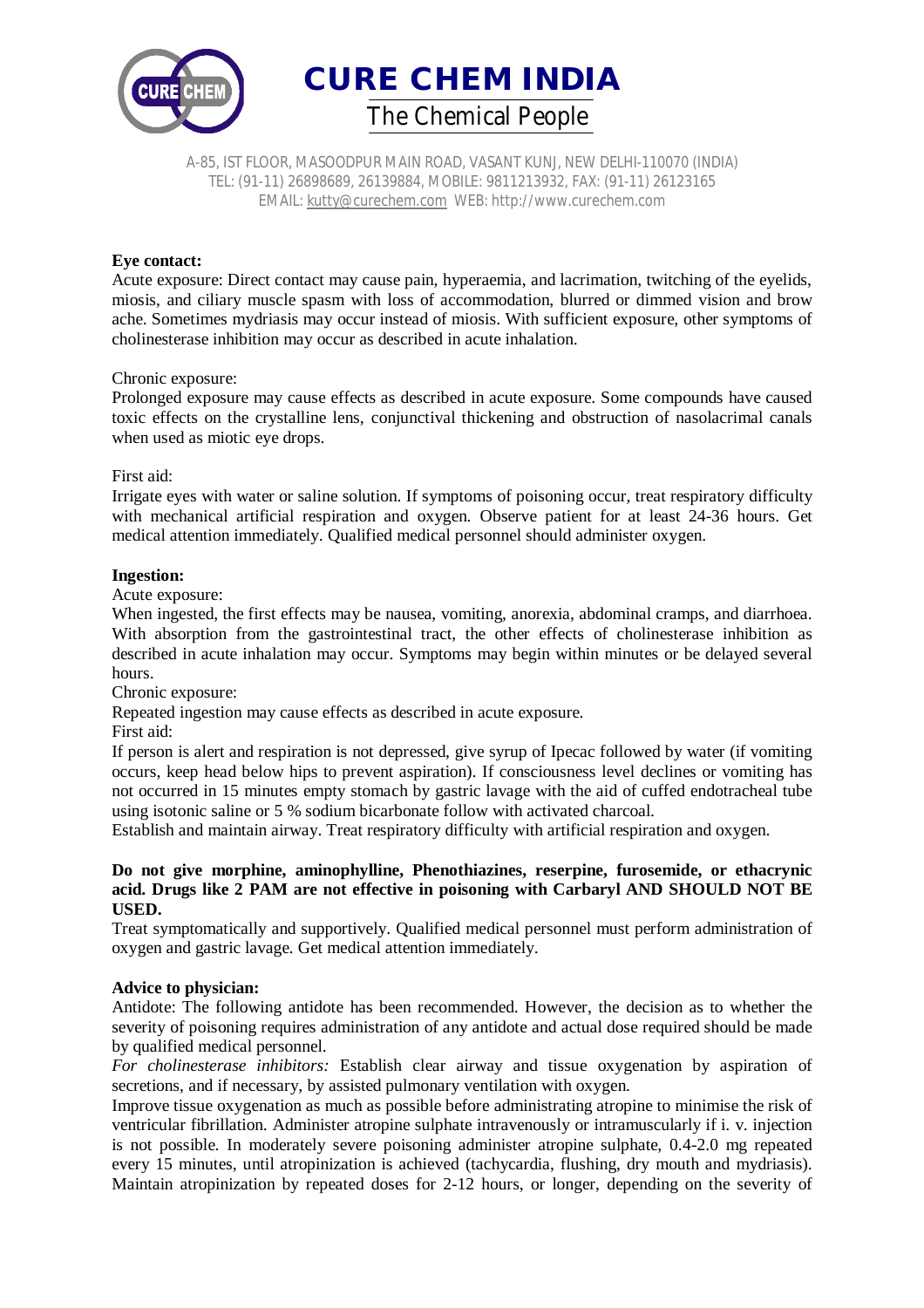

A-85, IST FLOOR, MASOODPUR MAIN ROAD, VASANT KUNJ, NEW DELHI-110070 (INDIA) TEL: (91-11) 26898689, 26139884, MOBILE: 9811213932, FAX: (91-11) 26123165 EMAIL: kutty@curechem.com WEB: http://www.curechem.com

## **Eye contact:**

Acute exposure: Direct contact may cause pain, hyperaemia, and lacrimation, twitching of the eyelids, miosis, and ciliary muscle spasm with loss of accommodation, blurred or dimmed vision and brow ache. Sometimes mydriasis may occur instead of miosis. With sufficient exposure, other symptoms of cholinesterase inhibition may occur as described in acute inhalation.

## Chronic exposure:

Prolonged exposure may cause effects as described in acute exposure. Some compounds have caused toxic effects on the crystalline lens, conjunctival thickening and obstruction of nasolacrimal canals when used as miotic eye drops.

## First aid:

Irrigate eyes with water or saline solution. If symptoms of poisoning occur, treat respiratory difficulty with mechanical artificial respiration and oxygen. Observe patient for at least 24-36 hours. Get medical attention immediately. Qualified medical personnel should administer oxygen.

## **Ingestion:**

Acute exposure:

When ingested, the first effects may be nausea, vomiting, anorexia, abdominal cramps, and diarrhoea. With absorption from the gastrointestinal tract, the other effects of cholinesterase inhibition as described in acute inhalation may occur. Symptoms may begin within minutes or be delayed several hours.

Chronic exposure:

Repeated ingestion may cause effects as described in acute exposure.

First aid:

If person is alert and respiration is not depressed, give syrup of Ipecac followed by water (if vomiting occurs, keep head below hips to prevent aspiration). If consciousness level declines or vomiting has not occurred in 15 minutes empty stomach by gastric lavage with the aid of cuffed endotracheal tube using isotonic saline or 5 % sodium bicarbonate follow with activated charcoal.

Establish and maintain airway. Treat respiratory difficulty with artificial respiration and oxygen.

## **Do not give morphine, aminophylline, Phenothiazines, reserpine, furosemide, or ethacrynic acid. Drugs like 2 PAM are not effective in poisoning with Carbaryl AND SHOULD NOT BE USED.**

Treat symptomatically and supportively. Qualified medical personnel must perform administration of oxygen and gastric lavage. Get medical attention immediately.

## **Advice to physician:**

Antidote: The following antidote has been recommended. However, the decision as to whether the severity of poisoning requires administration of any antidote and actual dose required should be made by qualified medical personnel.

*For cholinesterase inhibitors:* Establish clear airway and tissue oxygenation by aspiration of secretions, and if necessary, by assisted pulmonary ventilation with oxygen.

Improve tissue oxygenation as much as possible before administrating atropine to minimise the risk of ventricular fibrillation. Administer atropine sulphate intravenously or intramuscularly if i. v. injection is not possible. In moderately severe poisoning administer atropine sulphate, 0.4-2.0 mg repeated every 15 minutes, until atropinization is achieved (tachycardia, flushing, dry mouth and mydriasis). Maintain atropinization by repeated doses for 2-12 hours, or longer, depending on the severity of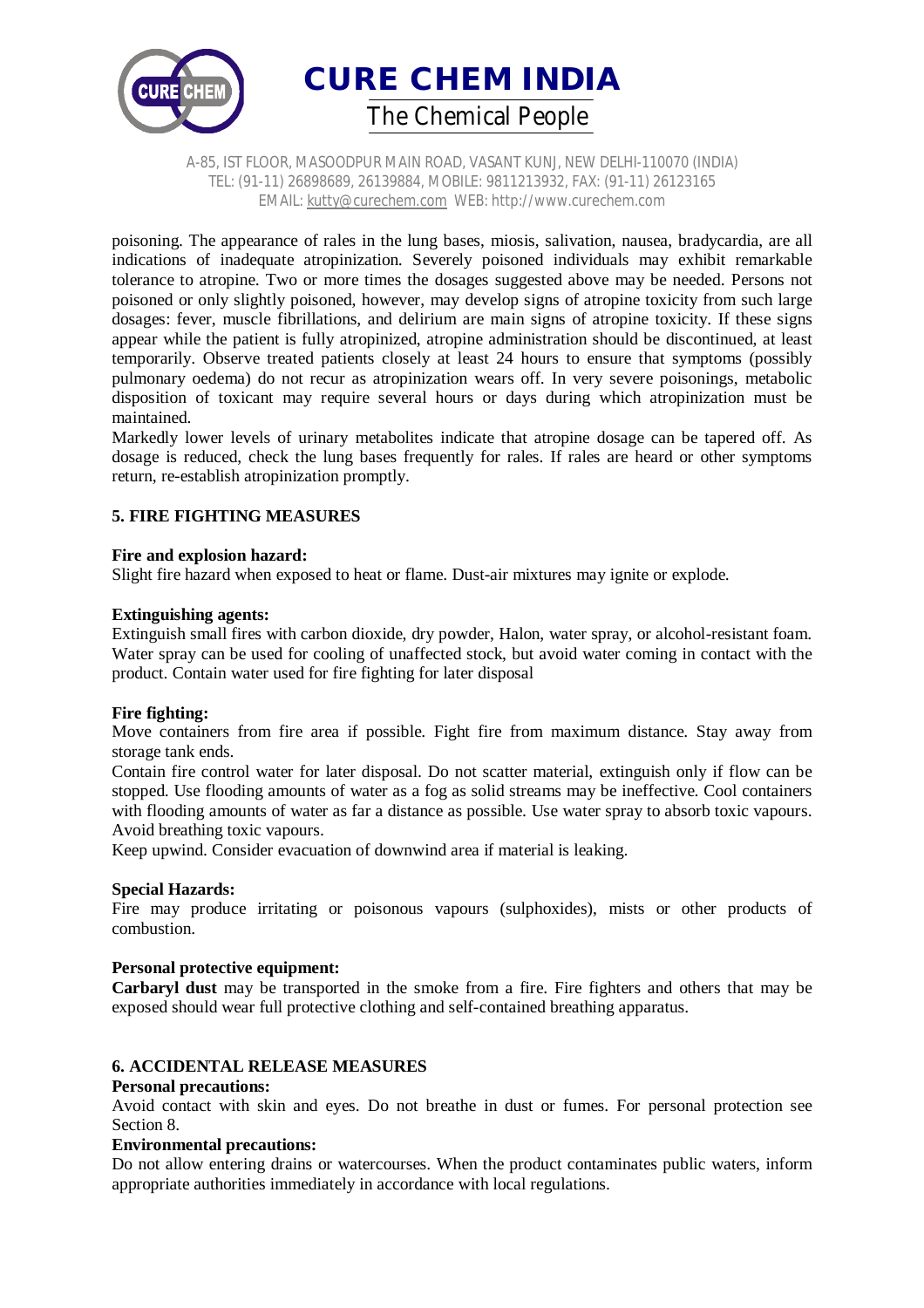

A-85, IST FLOOR, MASOODPUR MAIN ROAD, VASANT KUNJ, NEW DELHI-110070 (INDIA) TEL: (91-11) 26898689, 26139884, MOBILE: 9811213932, FAX: (91-11) 26123165 EMAIL: kutty@curechem.com WEB: http://www.curechem.com

poisoning. The appearance of rales in the lung bases, miosis, salivation, nausea, bradycardia, are all indications of inadequate atropinization. Severely poisoned individuals may exhibit remarkable tolerance to atropine. Two or more times the dosages suggested above may be needed. Persons not poisoned or only slightly poisoned, however, may develop signs of atropine toxicity from such large dosages: fever, muscle fibrillations, and delirium are main signs of atropine toxicity. If these signs appear while the patient is fully atropinized, atropine administration should be discontinued, at least temporarily. Observe treated patients closely at least 24 hours to ensure that symptoms (possibly pulmonary oedema) do not recur as atropinization wears off. In very severe poisonings, metabolic disposition of toxicant may require several hours or days during which atropinization must be maintained.

Markedly lower levels of urinary metabolites indicate that atropine dosage can be tapered off. As dosage is reduced, check the lung bases frequently for rales. If rales are heard or other symptoms return, re-establish atropinization promptly.

## **5. FIRE FIGHTING MEASURES**

## **Fire and explosion hazard:**

Slight fire hazard when exposed to heat or flame. Dust-air mixtures may ignite or explode.

## **Extinguishing agents:**

Extinguish small fires with carbon dioxide, dry powder, Halon, water spray, or alcohol-resistant foam. Water spray can be used for cooling of unaffected stock, but avoid water coming in contact with the product. Contain water used for fire fighting for later disposal

## **Fire fighting:**

Move containers from fire area if possible. Fight fire from maximum distance. Stay away from storage tank ends.

Contain fire control water for later disposal. Do not scatter material, extinguish only if flow can be stopped. Use flooding amounts of water as a fog as solid streams may be ineffective. Cool containers with flooding amounts of water as far a distance as possible. Use water spray to absorb toxic vapours. Avoid breathing toxic vapours.

Keep upwind. Consider evacuation of downwind area if material is leaking.

## **Special Hazards:**

Fire may produce irritating or poisonous vapours (sulphoxides), mists or other products of combustion.

## **Personal protective equipment:**

**Carbaryl dust** may be transported in the smoke from a fire. Fire fighters and others that may be exposed should wear full protective clothing and self-contained breathing apparatus.

## **6. ACCIDENTAL RELEASE MEASURES**

## **Personal precautions:**

Avoid contact with skin and eyes. Do not breathe in dust or fumes. For personal protection see Section 8.

## **Environmental precautions:**

Do not allow entering drains or watercourses. When the product contaminates public waters, inform appropriate authorities immediately in accordance with local regulations.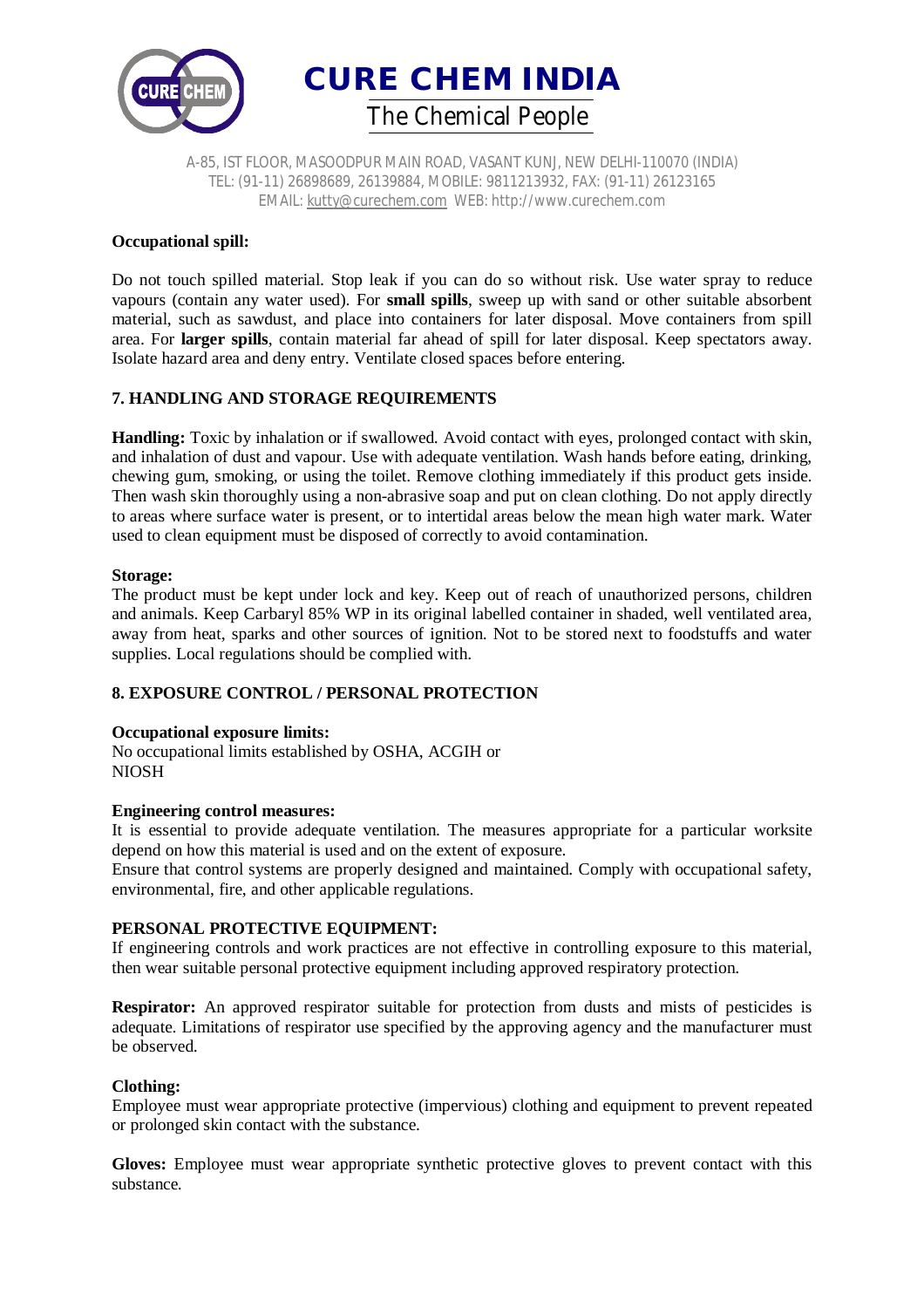



A-85, IST FLOOR, MASOODPUR MAIN ROAD, VASANT KUNJ, NEW DELHI-110070 (INDIA) TEL: (91-11) 26898689, 26139884, MOBILE: 9811213932, FAX: (91-11) 26123165 EMAIL: kutty@curechem.com WEB: http://www.curechem.com

## **Occupational spill:**

Do not touch spilled material. Stop leak if you can do so without risk. Use water spray to reduce vapours (contain any water used). For **small spills**, sweep up with sand or other suitable absorbent material, such as sawdust, and place into containers for later disposal. Move containers from spill area. For **larger spills**, contain material far ahead of spill for later disposal. Keep spectators away. Isolate hazard area and deny entry. Ventilate closed spaces before entering.

# **7. HANDLING AND STORAGE REQUIREMENTS**

**Handling:** Toxic by inhalation or if swallowed. Avoid contact with eyes, prolonged contact with skin, and inhalation of dust and vapour. Use with adequate ventilation. Wash hands before eating, drinking, chewing gum, smoking, or using the toilet. Remove clothing immediately if this product gets inside. Then wash skin thoroughly using a non-abrasive soap and put on clean clothing. Do not apply directly to areas where surface water is present, or to intertidal areas below the mean high water mark. Water used to clean equipment must be disposed of correctly to avoid contamination.

#### **Storage:**

The product must be kept under lock and key. Keep out of reach of unauthorized persons, children and animals. Keep Carbaryl 85% WP in its original labelled container in shaded, well ventilated area, away from heat, sparks and other sources of ignition. Not to be stored next to foodstuffs and water supplies. Local regulations should be complied with.

# **8. EXPOSURE CONTROL / PERSONAL PROTECTION**

## **Occupational exposure limits:**

No occupational limits established by OSHA, ACGIH or NIOSH

## **Engineering control measures:**

It is essential to provide adequate ventilation. The measures appropriate for a particular worksite depend on how this material is used and on the extent of exposure.

Ensure that control systems are properly designed and maintained. Comply with occupational safety, environmental, fire, and other applicable regulations.

## **PERSONAL PROTECTIVE EQUIPMENT:**

If engineering controls and work practices are not effective in controlling exposure to this material, then wear suitable personal protective equipment including approved respiratory protection.

**Respirator:** An approved respirator suitable for protection from dusts and mists of pesticides is adequate. Limitations of respirator use specified by the approving agency and the manufacturer must be observed.

## **Clothing:**

Employee must wear appropriate protective (impervious) clothing and equipment to prevent repeated or prolonged skin contact with the substance.

**Gloves:** Employee must wear appropriate synthetic protective gloves to prevent contact with this substance.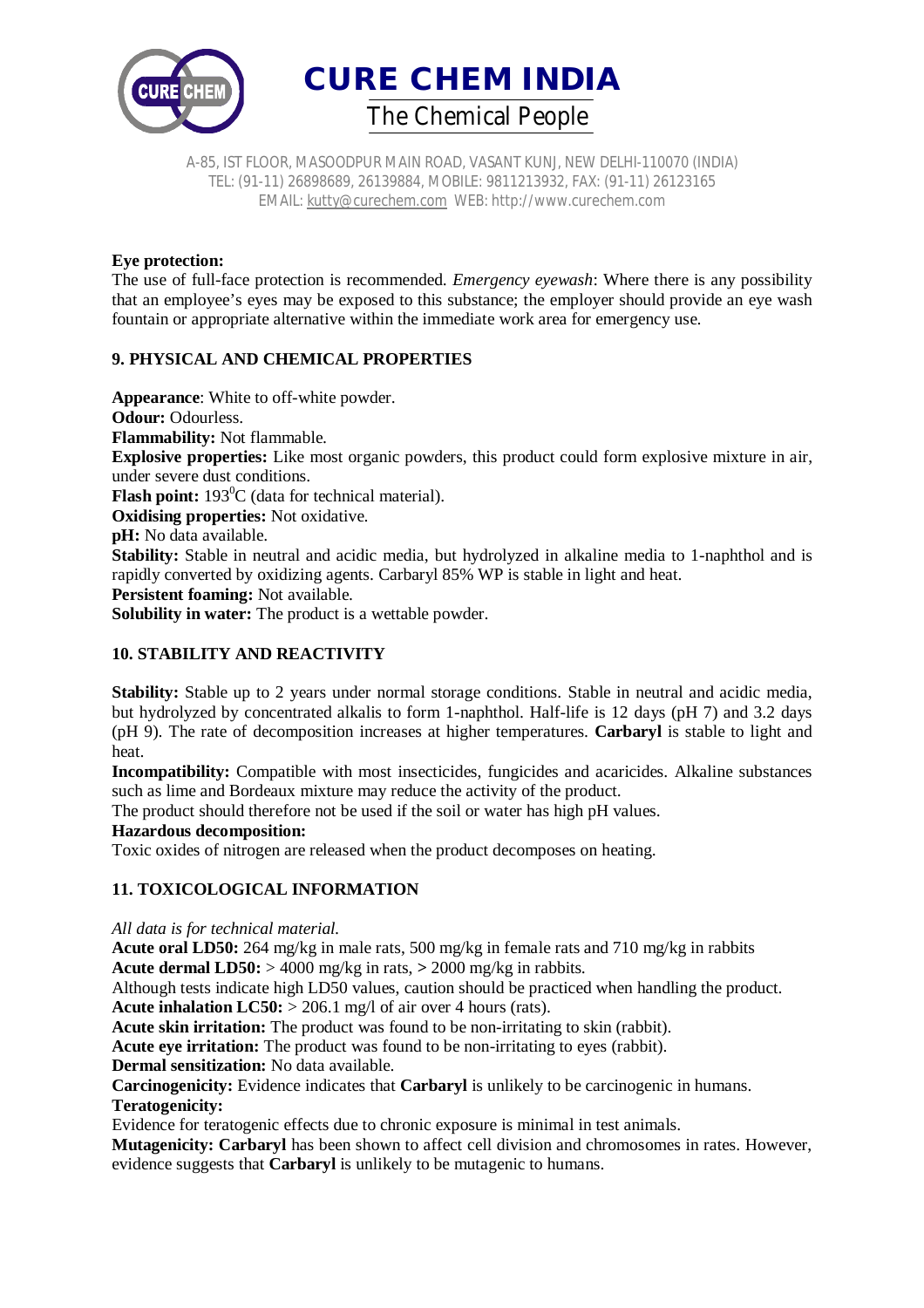

A-85, IST FLOOR, MASOODPUR MAIN ROAD, VASANT KUNJ, NEW DELHI-110070 (INDIA) TEL: (91-11) 26898689, 26139884, MOBILE: 9811213932, FAX: (91-11) 26123165 EMAIL: kutty@curechem.com WEB: http://www.curechem.com

## **Eye protection:**

The use of full-face protection is recommended. *Emergency eyewash*: Where there is any possibility that an employee's eyes may be exposed to this substance; the employer should provide an eye wash fountain or appropriate alternative within the immediate work area for emergency use.

# **9. PHYSICAL AND CHEMICAL PROPERTIES**

**Appearance**: White to off-white powder. **Odour: Odourless. Flammability:** Not flammable. **Explosive properties:** Like most organic powders, this product could form explosive mixture in air, under severe dust conditions. **Flash point:** 193<sup>0</sup>C (data for technical material). **Oxidising properties:** Not oxidative. **pH:** No data available. **Stability:** Stable in neutral and acidic media, but hydrolyzed in alkaline media to 1-naphthol and is rapidly converted by oxidizing agents. Carbaryl 85% WP is stable in light and heat. **Persistent foaming:** Not available. **Solubility in water:** The product is a wettable powder.

# **10. STABILITY AND REACTIVITY**

**Stability:** Stable up to 2 years under normal storage conditions. Stable in neutral and acidic media, but hydrolyzed by concentrated alkalis to form 1-naphthol. Half-life is 12 days (pH 7) and 3.2 days (pH 9). The rate of decomposition increases at higher temperatures. **Carbaryl** is stable to light and heat.

**Incompatibility:** Compatible with most insecticides, fungicides and acaricides. Alkaline substances such as lime and Bordeaux mixture may reduce the activity of the product.

The product should therefore not be used if the soil or water has high pH values.

## **Hazardous decomposition:**

Toxic oxides of nitrogen are released when the product decomposes on heating.

# **11. TOXICOLOGICAL INFORMATION**

*All data is for technical material.*

**Acute oral LD50:** 264 mg/kg in male rats, 500 mg/kg in female rats and 710 mg/kg in rabbits **Acute dermal LD50:** > 4000 mg/kg in rats, **>** 2000 mg/kg in rabbits.

Although tests indicate high LD50 values, caution should be practiced when handling the product. **Acute inhalation LC50:** > 206.1 mg/l of air over 4 hours (rats).

**Acute skin irritation:** The product was found to be non-irritating to skin (rabbit).

**Acute eve irritation:** The product was found to be non-irritating to eves (rabbit).

**Dermal sensitization:** No data available.

**Carcinogenicity:** Evidence indicates that **Carbaryl** is unlikely to be carcinogenic in humans. **Teratogenicity:**

Evidence for teratogenic effects due to chronic exposure is minimal in test animals.

**Mutagenicity: Carbaryl** has been shown to affect cell division and chromosomes in rates. However, evidence suggests that **Carbaryl** is unlikely to be mutagenic to humans.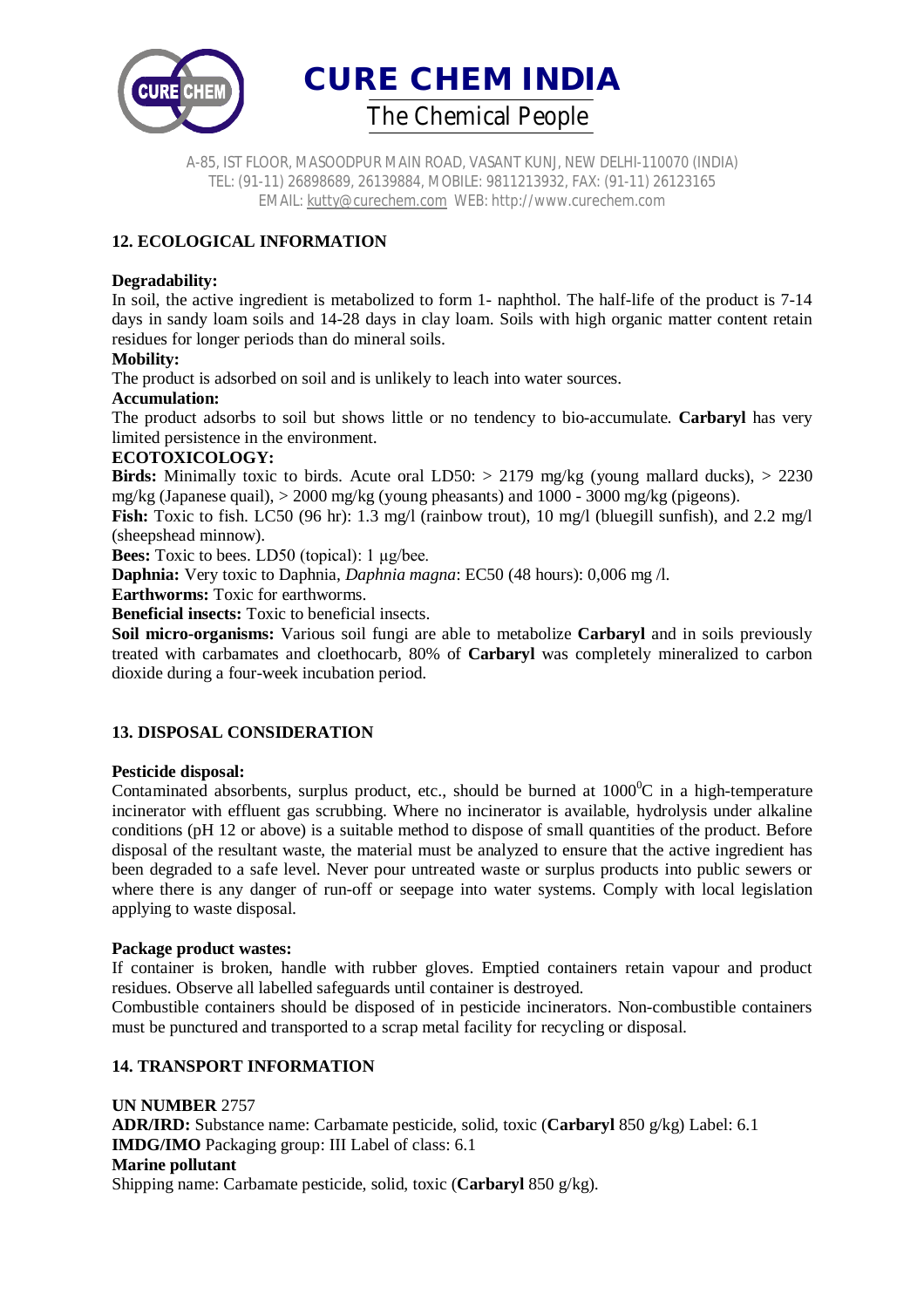

A-85, IST FLOOR, MASOODPUR MAIN ROAD, VASANT KUNJ, NEW DELHI-110070 (INDIA) TEL: (91-11) 26898689, 26139884, MOBILE: 9811213932, FAX: (91-11) 26123165 EMAIL: kutty@curechem.com WEB: http://www.curechem.com

# **12. ECOLOGICAL INFORMATION**

## **Degradability:**

In soil, the active ingredient is metabolized to form 1- naphthol. The half-life of the product is 7-14 days in sandy loam soils and 14-28 days in clay loam. Soils with high organic matter content retain residues for longer periods than do mineral soils.

## **Mobility:**

The product is adsorbed on soil and is unlikely to leach into water sources.

## **Accumulation:**

The product adsorbs to soil but shows little or no tendency to bio-accumulate. **Carbaryl** has very limited persistence in the environment.

## **ECOTOXICOLOGY:**

**Birds:** Minimally toxic to birds. Acute oral LD50:  $> 2179$  mg/kg (young mallard ducks),  $> 2230$ mg/kg (Japanese quail),  $> 2000$  mg/kg (young pheasants) and  $1000 - 3000$  mg/kg (pigeons).

**Fish:** Toxic to fish. LC50 (96 hr): 1.3 mg/l (rainbow trout), 10 mg/l (bluegill sunfish), and 2.2 mg/l (sheepshead minnow).

**Bees:** Toxic to bees. LD50 (topical): 1 μg/bee.

**Daphnia:** Very toxic to Daphnia, *Daphnia magna*: EC50 (48 hours): 0,006 mg /l.

**Earthworms:** Toxic for earthworms.

**Beneficial insects:** Toxic to beneficial insects.

**Soil micro-organisms:** Various soil fungi are able to metabolize **Carbaryl** and in soils previously treated with carbamates and cloethocarb, 80% of **Carbaryl** was completely mineralized to carbon dioxide during a four-week incubation period.

# **13. DISPOSAL CONSIDERATION**

## **Pesticide disposal:**

Contaminated absorbents, surplus product, etc., should be burned at  $1000^{\circ}$ C in a high-temperature incinerator with effluent gas scrubbing. Where no incinerator is available, hydrolysis under alkaline conditions (pH 12 or above) is a suitable method to dispose of small quantities of the product. Before disposal of the resultant waste, the material must be analyzed to ensure that the active ingredient has been degraded to a safe level. Never pour untreated waste or surplus products into public sewers or where there is any danger of run-off or seepage into water systems. Comply with local legislation applying to waste disposal.

## **Package product wastes:**

If container is broken, handle with rubber gloves. Emptied containers retain vapour and product residues. Observe all labelled safeguards until container is destroyed.

Combustible containers should be disposed of in pesticide incinerators. Non-combustible containers must be punctured and transported to a scrap metal facility for recycling or disposal.

# **14. TRANSPORT INFORMATION**

**UN NUMBER** 2757 **ADR/IRD:** Substance name: Carbamate pesticide, solid, toxic (**Carbaryl** 850 g/kg) Label: 6.1 **IMDG/IMO** Packaging group: III Label of class: 6.1 **Marine pollutant** Shipping name: Carbamate pesticide, solid, toxic (**Carbaryl** 850 g/kg).